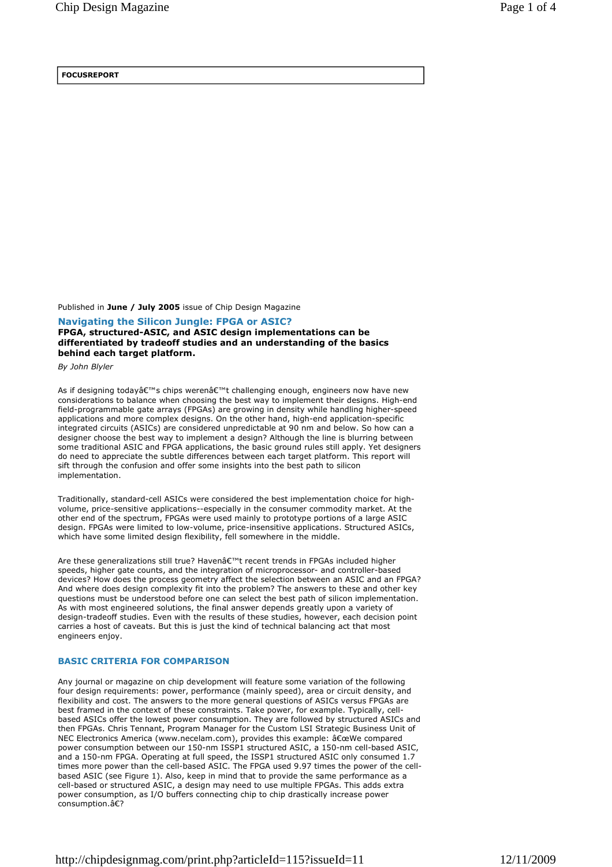## **FOCUSREPORT**

Published in **June / July 2005** issue of Chip Design Magazine

**Navigating the Silicon Jungle: FPGA or ASIC? FPGA, structured-ASIC, and ASIC design implementations can be differentiated by tradeoff studies and an understanding of the basics behind each target platform.**

*By John Blyler* 

As if designing today's chips weren't challenging enough, engineers now have new considerations to balance when choosing the best way to implement their designs. High-end field-programmable gate arrays (FPGAs) are growing in density while handling higher-speed applications and more complex designs. On the other hand, high-end application-specific integrated circuits (ASICs) are considered unpredictable at 90 nm and below. So how can a designer choose the best way to implement a design? Although the line is blurring between some traditional ASIC and FPGA applications, the basic ground rules still apply. Yet designers do need to appreciate the subtle differences between each target platform. This report will sift through the confusion and offer some insights into the best path to silicon implementation.

Traditionally, standard-cell ASICs were considered the best implementation choice for highvolume, price-sensitive applications--especially in the consumer commodity market. At the other end of the spectrum, FPGAs were used mainly to prototype portions of a large ASIC design. FPGAs were limited to low-volume, price-insensitive applications. Structured ASICs, which have some limited design flexibility, fell somewhere in the middle.

Are these generalizations still true? Haven't recent trends in FPGAs included higher speeds, higher gate counts, and the integration of microprocessor- and controller-based devices? How does the process geometry affect the selection between an ASIC and an FPGA? And where does design complexity fit into the problem? The answers to these and other key questions must be understood before one can select the best path of silicon implementation. As with most engineered solutions, the final answer depends greatly upon a variety of design-tradeoff studies. Even with the results of these studies, however, each decision point carries a host of caveats. But this is just the kind of technical balancing act that most engineers enjoy.

## **BASIC CRITERIA FOR COMPARISON**

Any journal or magazine on chip development will feature some variation of the following four design requirements: power, performance (mainly speed), area or circuit density, and flexibility and cost. The answers to the more general questions of ASICs versus FPGAs are best framed in the context of these constraints. Take power, for example. Typically, cellbased ASICs offer the lowest power consumption. They are followed by structured ASICs and then FPGAs. Chris Tennant, Program Manager for the Custom LSI Strategic Business Unit of NEC Electronics America (www.necelam.com), provides this example: "We compared power consumption between our 150-nm ISSP1 structured ASIC, a 150-nm cell-based ASIC, and a 150-nm FPGA. Operating at full speed, the ISSP1 structured ASIC only consumed 1.7 times more power than the cell-based ASIC. The FPGA used 9.97 times the power of the cellbased ASIC (see Figure 1). Also, keep in mind that to provide the same performance as a cell-based or structured ASIC, a design may need to use multiple FPGAs. This adds extra power consumption, as I/O buffers connecting chip to chip drastically increase power consumption.�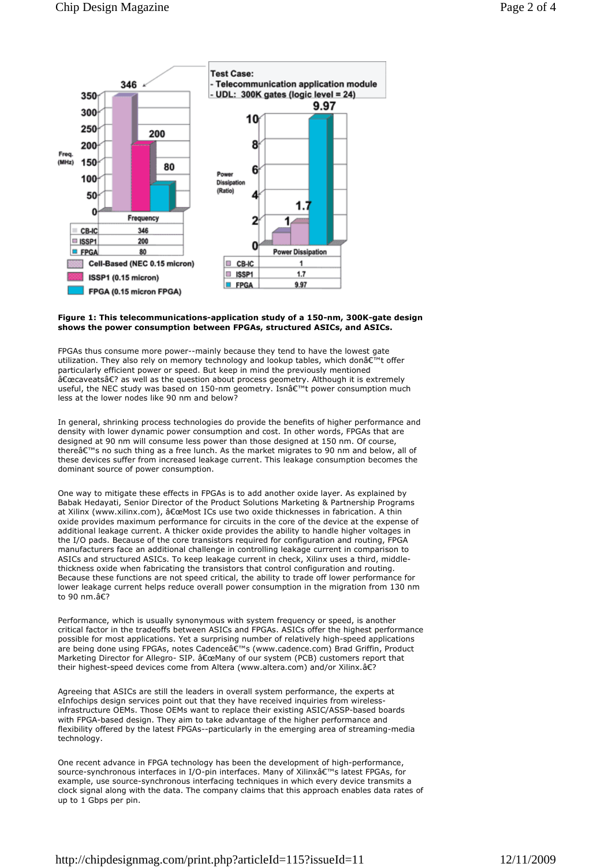

## **Figure 1: This telecommunications-application study of a 150-nm, 300K-gate design shows the power consumption between FPGAs, structured ASICs, and ASICs.**

FPGAs thus consume more power--mainly because they tend to have the lowest gate utilization. They also rely on memory technology and lookup tables, which don't offer particularly efficient power or speed. But keep in mind the previously mentioned  $\hat{\mathsf{a}} \in \mathbb{C}$  as well as the question about process geometry. Although it is extremely useful, the NEC study was based on 150-nm geometry. Isn't power consumption much less at the lower nodes like 90 nm and below?

In general, shrinking process technologies do provide the benefits of higher performance and density with lower dynamic power consumption and cost. In other words, FPGAs that are designed at 90 nm will consume less power than those designed at 150 nm. Of course, there's no such thing as a free lunch. As the market migrates to 90 nm and below, all of these devices suffer from increased leakage current. This leakage consumption becomes the dominant source of power consumption.

One way to mitigate these effects in FPGAs is to add another oxide layer. As explained by Babak Hedayati, Senior Director of the Product Solutions Marketing & Partnership Programs at Xilinx (www.xilinx.com), "Most ICs use two oxide thicknesses in fabrication. A thin oxide provides maximum performance for circuits in the core of the device at the expense of additional leakage current. A thicker oxide provides the ability to handle higher voltages in the I/O pads. Because of the core transistors required for configuration and routing, FPGA manufacturers face an additional challenge in controlling leakage current in comparison to ASICs and structured ASICs. To keep leakage current in check, Xilinx uses a third, middlethickness oxide when fabricating the transistors that control configuration and routing. Because these functions are not speed critical, the ability to trade off lower performance for lower leakage current helps reduce overall power consumption in the migration from 130 nm to 90 nm  $\overline{AF}$ 

Performance, which is usually synonymous with system frequency or speed, is another critical factor in the tradeoffs between ASICs and FPGAs. ASICs offer the highest performance possible for most applications. Yet a surprising number of relatively high-speed applications are being done using FPGAs, notes Cadenceâ€<sup>™</sup>s (www.cadence.com) Brad Griffin, Product Marketing Director for Allegro- SIP. "Many of our system (PCB) customers report that their highest-speed devices come from Altera (www.altera.com) and/or Xilinx.�

Agreeing that ASICs are still the leaders in overall system performance, the experts at eInfochips design services point out that they have received inquiries from wirelessinfrastructure OEMs. Those OEMs want to replace their existing ASIC/ASSP-based boards with FPGA-based design. They aim to take advantage of the higher performance and flexibility offered by the latest FPGAs--particularly in the emerging area of streaming-media technology.

One recent advance in FPGA technology has been the development of high-performance, source-synchronous interfaces in I/O-pin interfaces. Many of Xilinxâ€<sup>™</sup>s latest FPGAs, for example, use source-synchronous interfacing techniques in which every device transmits a clock signal along with the data. The company claims that this approach enables data rates of up to 1 Gbps per pin.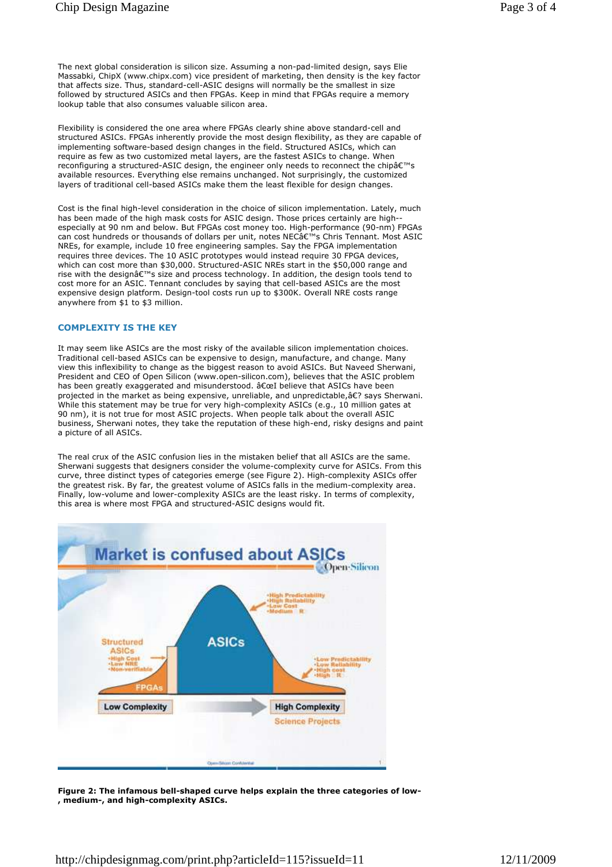The next global consideration is silicon size. Assuming a non-pad-limited design, says Elie Massabki, ChipX (www.chipx.com) vice president of marketing, then density is the key factor that affects size. Thus, standard-cell-ASIC designs will normally be the smallest in size followed by structured ASICs and then FPGAs. Keep in mind that FPGAs require a memory lookup table that also consumes valuable silicon area.

Flexibility is considered the one area where FPGAs clearly shine above standard-cell and structured ASICs. FPGAs inherently provide the most design flexibility, as they are capable of implementing software-based design changes in the field. Structured ASICs, which can require as few as two customized metal layers, are the fastest ASICs to change. When reconfiguring a structured-ASIC design, the engineer only needs to reconnect the chipâ€<sup>™</sup>s available resources. Everything else remains unchanged. Not surprisingly, the customized layers of traditional cell-based ASICs make them the least flexible for design changes.

Cost is the final high-level consideration in the choice of silicon implementation. Lately, much has been made of the high mask costs for ASIC design. Those prices certainly are highespecially at 90 nm and below. But FPGAs cost money too. High-performance (90-nm) FPGAs can cost hundreds or thousands of dollars per unit, notes NECâ $\epsilon$ <sup>m</sup>s Chris Tennant. Most ASIC NREs, for example, include 10 free engineering samples. Say the FPGA implementation requires three devices. The 10 ASIC prototypes would instead require 30 FPGA devices, which can cost more than \$30,000. Structured-ASIC NREs start in the \$50,000 range and rise with the design's size and process technology. In addition, the design tools tend to cost more for an ASIC. Tennant concludes by saying that cell-based ASICs are the most expensive design platform. Design-tool costs run up to \$300K. Overall NRE costs range anywhere from \$1 to \$3 million.

## **COMPLEXITY IS THE KEY**

It may seem like ASICs are the most risky of the available silicon implementation choices. Traditional cell-based ASICs can be expensive to design, manufacture, and change. Many view this inflexibility to change as the biggest reason to avoid ASICs. But Naveed Sherwani, President and CEO of Open Silicon (www.open-silicon.com), believes that the ASIC problem has been greatly exaggerated and misunderstood.  $\hat{a}\epsilon$  believe that ASICs have been projected in the market as being expensive, unreliable, and unpredictable,� says Sherwani. While this statement may be true for very high-complexity ASICs (e.g., 10 million gates at 90 nm), it is not true for most ASIC projects. When people talk about the overall ASIC business, Sherwani notes, they take the reputation of these high-end, risky designs and paint a picture of all ASICs.

The real crux of the ASIC confusion lies in the mistaken belief that all ASICs are the same. Sherwani suggests that designers consider the volume-complexity curve for ASICs. From this curve, three distinct types of categories emerge (see Figure 2). High-complexity ASICs offer the greatest risk. By far, the greatest volume of ASICs falls in the medium-complexity area. Finally, low-volume and lower-complexity ASICs are the least risky. In terms of complexity, this area is where most FPGA and structured-ASIC designs would fit.



**Figure 2: The infamous bell-shaped curve helps explain the three categories of low- , medium-, and high-complexity ASICs.**